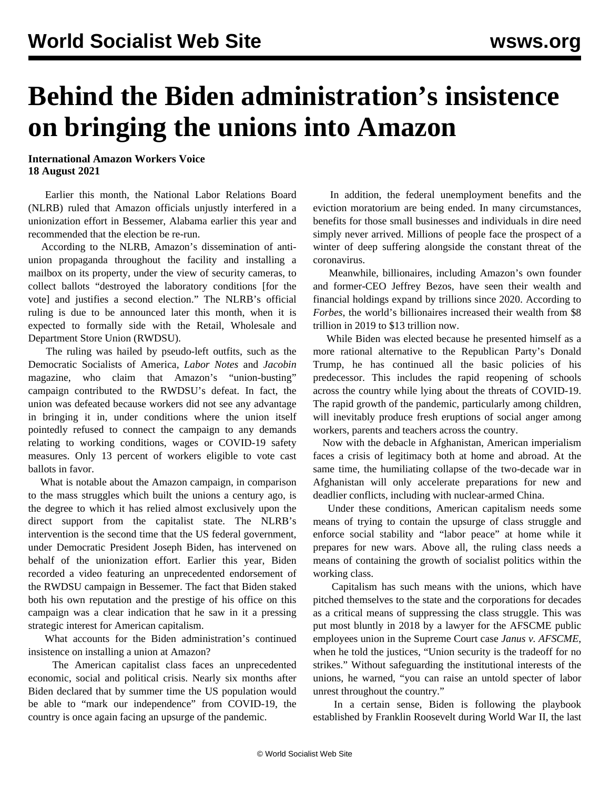## **Behind the Biden administration's insistence on bringing the unions into Amazon**

## **International Amazon Workers Voice 18 August 2021**

 Earlier this month, the National Labor Relations Board (NLRB) [ruled](/en/articles/2021/08/04/nlrb-a04.html) that Amazon officials unjustly interfered in a unionization effort in Bessemer, Alabama earlier this year and recommended that the election be re-run.

 According to the NLRB, Amazon's dissemination of antiunion propaganda throughout the facility and installing a mailbox on its property, under the view of security cameras, to collect ballots "destroyed the laboratory conditions [for the vote] and justifies a second election." The NLRB's official ruling is due to be announced later this month, when it is expected to formally side with the Retail, Wholesale and Department Store Union (RWDSU).

 The ruling was hailed by pseudo-left outfits, such as the Democratic Socialists of America, *Labor Notes* and *Jacobin* magazine, who claim that Amazon's "union-busting" campaign contributed to the RWDSU's defeat. In fact, the union was defeated because workers did not see any advantage in bringing it in, under conditions where the union itself pointedly refused to connect the campaign to any demands relating to working conditions, wages or COVID-19 safety measures. Only 13 percent of workers eligible to vote cast ballots in favor.

 What is notable about the Amazon campaign, in comparison to the mass struggles which built the unions a century ago, is the degree to which it has relied almost exclusively upon the direct support from the capitalist state. The NLRB's intervention is the second time that the US federal government, under Democratic President Joseph Biden, has intervened on behalf of the unionization effort. Earlier this year, Biden recorded a video featuring an [unprecedented endorsement](/en/articles/2021/03/03/pers-m03.html) of the RWDSU campaign in Bessemer. The fact that Biden staked both his own reputation and the prestige of his office on this campaign was a clear indication that he saw in it a pressing strategic interest for American capitalism.

 What accounts for the Biden administration's continued insistence on installing a union at Amazon?

 The American capitalist class faces an unprecedented economic, social and political crisis. Nearly six months after Biden [declared](/en/articles/2021/03/13/pers-m13.html) that by summer time the US population would be able to "mark our independence" from COVID-19, the country is once again facing an upsurge of the pandemic.

 In addition, the federal unemployment benefits and the eviction moratorium are being ended. In many circumstances, benefits for those small businesses and individuals in dire need simply never arrived. Millions of people face the prospect of a winter of deep suffering alongside the constant threat of the coronavirus.

 Meanwhile, billionaires, including Amazon's own founder and former-CEO Jeffrey Bezos, have seen their wealth and financial holdings expand by trillions since 2020. According to *Forbes*, the world's billionaires [increased their wealth](/en/articles/2021/06/12/pers-j12.html) from \$8 trillion in 2019 to \$13 trillion now.

 While Biden was elected because he presented himself as a more rational alternative to the Republican Party's Donald Trump, he has continued all the basic policies of his predecessor. This includes the rapid reopening of schools across the country while [lying](/en/articles/2021/02/18/lead-f18.html) about the threats of COVID-19. The rapid growth of the pandemic, particularly among children, will inevitably produce fresh eruptions of social anger among workers, parents and teachers across the country.

 Now with the debacle in Afghanistan, American imperialism faces a crisis of legitimacy both at home and abroad. At the same time, the humiliating collapse of the two-decade war in Afghanistan will only accelerate preparations for new and deadlier conflicts, including with nuclear-armed China.

 Under these conditions, American capitalism needs some means of trying to contain the upsurge of class struggle and enforce social stability and "labor peace" at home while it prepares for new wars. Above all, the ruling class needs a means of containing the growth of socialist politics within the working class.

 Capitalism has such means with the unions, which have pitched themselves to the state and the corporations for decades as a critical means of suppressing the class struggle. This was put most bluntly in 2018 by a lawyer for the AFSCME public employees union in the Supreme Court case *Janus v. AFSCME*, when he [told the justices,](/en/articles/2018/02/28/pers-f28.html) "Union security is the tradeoff for no strikes." Without safeguarding the institutional interests of the unions, he warned, "you can raise an untold specter of labor unrest throughout the country."

 In a certain sense, Biden is following the playbook established by Franklin Roosevelt during World War II, the last